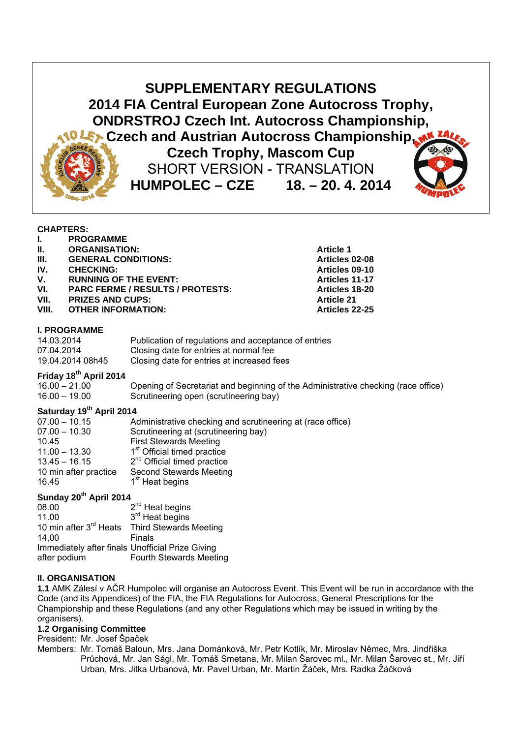**SUPPLEMENTARY REGULATIONS 2014 FIA Central European Zone Autocross Trophy, ONDRSTROJ Czech Int. Autocross Championship, Czech and Austrian Autocross Championship, Czech Trophy, Mascom Cup**  SHORT VERSION - TRANSLATION **HUMPOLEC – CZE 18. – 20. 4. 2014** 

**Articles 02-08** 

#### **CHAPTERS:**

|       | <b>PROGRAMME</b>           |                   |
|-------|----------------------------|-------------------|
| H.    | <b>ORGANISATION:</b>       | <b>Article 1</b>  |
| -III. | <b>GENERAL CONDITIONS:</b> | <b>Articles</b> ( |

**IV.** CHECKING: CHECKING: CHECKING: CHECKING: CHECKING: CHECKING: CHECKING: CHECKING: CHECKING: CHECKING: CHECKING: CHECKING: CHECKING: CHECKING: CHECKING: CHECKING: CHECKING: CHECKING: CHECKING: CHECKING: CHECKING: CHECKI

#### V. RUNNING OF THE EVENT:<br>
VI. PARC FERME / RESULTS / PROTESTS: Articles 18-20 **PARC FERME / RESULTS / PROTESTS:**

**VII.** PRIZES AND CUPS: **Article 21 Article 21** 

#### **VIII. OTHER INFORMATION: Articles 22-25**

#### **I. PROGRAMME**

| 14.03.2014       | Publication of regulations and acceptance of entries |
|------------------|------------------------------------------------------|
| 07.04.2014       | Closing date for entries at normal fee               |
| 19.04.2014 08h45 | Closing date for entries at increased fees           |

## **Friday 18th April 2014**

| $16.00 - 21.00$ | Opening of Secretariat and beginning of the Administrative checking (race office) |
|-----------------|-----------------------------------------------------------------------------------|
| $16.00 - 19.00$ | Scrutineering open (scrutineering bay)                                            |

# **Saturday 19th April 2014**

| 07.00 - 10.15         | Administrative checking and scrutineering at (race office) |
|-----------------------|------------------------------------------------------------|
| $07.00 - 10.30$       | Scrutineering at (scrutineering bay)                       |
| 10.45                 | <b>First Stewards Meeting</b>                              |
| $11.00 - 13.30$       | 1 <sup>st</sup> Official timed practice                    |
| $13.45 - 16.15$       | $2nd$ Official timed practice                              |
| 10 min after practice | <b>Second Stewards Meeting</b>                             |
| 16.45                 | 1 <sup>st</sup> Heat begins                                |

# Sunday 20<sup>th</sup> April 2014

| 08.00                                            | $2^{nd}$ Heat begins                                      |
|--------------------------------------------------|-----------------------------------------------------------|
| 11.00                                            | 3 <sup>rd</sup> Heat begins                               |
|                                                  | 10 min after 3 <sup>rd</sup> Heats Third Stewards Meeting |
| 14.00                                            | Finals                                                    |
| Immediately after finals Unofficial Prize Giving |                                                           |
| after podium                                     | Fourth Stewards Meeting                                   |

#### **II. ORGANISATION**

**1.1** AMK Zálesí v AČR Humpolec will organise an Autocross Event. This Event will be run in accordance with the Code (and its Appendices) of the FIA, the FIA Regulations for Autocross, General Prescriptions for the Championship and these Regulations (and any other Regulations which may be issued in writing by the organisers).

### **1.2 Organising Committee**

President: Mr. Josef Špaček

Members: Mr. Tomáš Baloun, Mrs. Jana Dománková, Mr. Petr Kotlík, Mr. Miroslav Němec, Mrs. Jindřiška Průchová, Mr. Jan Ságl, Mr. Tomáš Smetana, Mr. Milan Šarovec ml., Mr. Milan Šarovec st., Mr. Jiří Urban, Mrs. Jitka Urbanová, Mr. Pavel Urban, Mr. Martin Žáček, Mrs. Radka Žáčková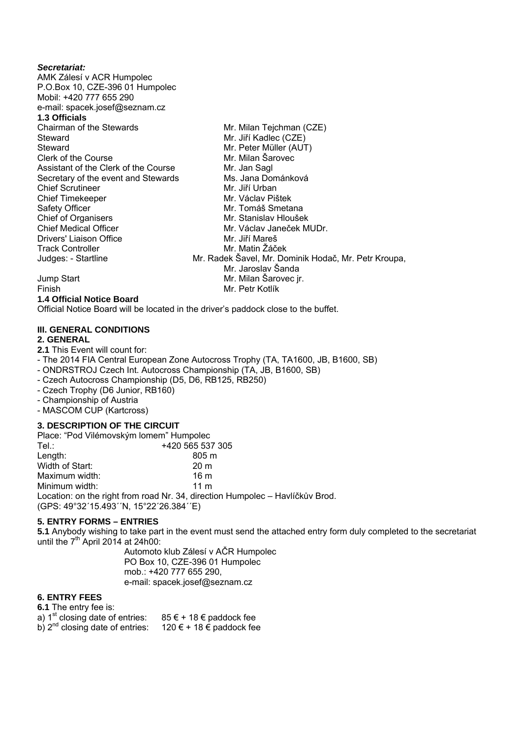#### *Secretariat:*

AMK Zálesí v ACR Humpolec P.O.Box 10, CZE-396 01 Humpolec Mobil: +420 777 655 290 e-mail: spacek.josef@seznam.cz **1.3 Officials**  Chairman of the Stewards Mr. Milan Tejchman (CZE) Steward Mr. Jiří Kadlec (CZE) Steward Mr. Peter Müller (AUT)<br>Clerk of the Course **Mr. Miller (AUT)** Mr. Milan Šarovec<br>Mr. Jan Sagl Assistant of the Clerk of the Course Secretary of the event and Stewards Ms. Jana Dománková<br>Chief Scrutineer Mr. Jiří Urban Chief Scrutineer Mr. Jiří Urban<br>Chief Timekeeper Mr. Václav Pištek Chief Timekeeper Safety Officer Mr. Tomáš Smetana<br>
Chief of Organisers
Mr. Stanislav Hlouše Chief of Organisers and Mr. Stanislav Hloušek<br>Chief Medical Officer Mr. Václav Janeček M Mr. Václav Janeček MUDr. Drivers' Liaison Office Mr. Jiří Mareš Track Controller Mr. Matin Žáček Judges: - Startline Mr. Radek Šavel, Mr. Dominik Hodač, Mr. Petr Kroupa, Mr. Jaroslav Šanda Jump Start Mr. Milan Šarovec jr. Finish Mr. Petr Kotlík

**1.4 Official Notice Board** 

Official Notice Board will be located in the driver's paddock close to the buffet.

# **III. GENERAL CONDITIONS**

**2. GENERAL** 

**2.1** This Event will count for:

- The 2014 FIA Central European Zone Autocross Trophy (TA, TA1600, JB, B1600, SB)
- ONDRSTROJ Czech Int. Autocross Championship (TA, JB, B1600, SB)
- Czech Autocross Championship (D5, D6, RB125, RB250)
- Czech Trophy (D6 Junior, RB160)
- Championship of Austria
- MASCOM CUP (Kartcross)

## **3. DESCRIPTION OF THE CIRCUIT**

| Place: "Pod Vilémovským lomem" Humpolec                                                                                  |                  |  |  |
|--------------------------------------------------------------------------------------------------------------------------|------------------|--|--|
| Tel∴                                                                                                                     | +420 565 537 305 |  |  |
| Length:                                                                                                                  | $805 \text{ m}$  |  |  |
| Width of Start:                                                                                                          | 20 <sub>m</sub>  |  |  |
| Maximum width:                                                                                                           | 16m              |  |  |
| Minimum width:                                                                                                           | $11 \text{ m}$   |  |  |
| Location: on the right from road Nr. 34, direction Humpolec - Havlíčkův Brod.<br>(GPS: 49°32'15.493''N, 15°22'26.384''E) |                  |  |  |

#### **5. ENTRY FORMS – ENTRIES**

**5.1** Anybody wishing to take part in the event must send the attached entry form duly completed to the secretariat until the  $7<sup>th</sup>$  April 2014 at 24h00:

Automoto klub Zálesí v AČR Humpolec PO Box 10, CZE-396 01 Humpolec mob.: +420 777 655 290, e-mail: spacek.josef@seznam.cz

#### **6. ENTRY FEES**

| 6.1 The entry fee is:                |                                |
|--------------------------------------|--------------------------------|
| a) $1st$ closing date of entries:    | $85 \in + 18 \in$ paddock fee  |
| b) $2^{nd}$ closing date of entries: | $120 \in + 18 \in$ paddock fee |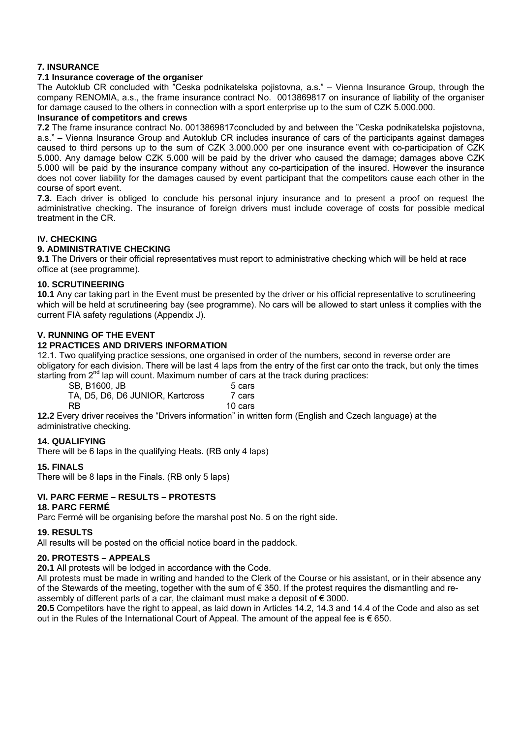## **7. INSURANCE**

## **7.1 Insurance coverage of the organiser**

The Autoklub CR concluded with "Ceska podnikatelska pojistovna, a.s." – Vienna Insurance Group, through the company RENOMIA, a.s., the frame insurance contract No. 0013869817 on insurance of liability of the organiser for damage caused to the others in connection with a sport enterprise up to the sum of CZK 5.000.000.

#### **Insurance of competitors and crews**

**7.2** The frame insurance contract No. 0013869817concluded by and between the "Ceska podnikatelska pojistovna, a.s." – Vienna Insurance Group and Autoklub CR includes insurance of cars of the participants against damages caused to third persons up to the sum of CZK 3.000.000 per one insurance event with co-participation of CZK 5.000. Any damage below CZK 5.000 will be paid by the driver who caused the damage; damages above CZK 5.000 will be paid by the insurance company without any co-participation of the insured. However the insurance does not cover liability for the damages caused by event participant that the competitors cause each other in the course of sport event.

**7.3.** Each driver is obliged to conclude his personal injury insurance and to present a proof on request the administrative checking. The insurance of foreign drivers must include coverage of costs for possible medical treatment in the CR.

#### **IV. CHECKING**

#### **9. ADMINISTRATIVE CHECKING**

**9.1** The Drivers or their official representatives must report to administrative checking which will be held at race office at (see programme).

#### **10. SCRUTINEERING**

**10.1** Any car taking part in the Event must be presented by the driver or his official representative to scrutineering which will be held at scrutineering bay (see programme). No cars will be allowed to start unless it complies with the current FIA safety regulations (Appendix J).

#### **V. RUNNING OF THE EVENT**

#### **12 PRACTICES AND DRIVERS INFORMATION**

12.1. Two qualifying practice sessions, one organised in order of the numbers, second in reverse order are obligatory for each division. There will be last 4 laps from the entry of the first car onto the track, but only the times starting from  $2^{nd}$  lap will count. Maximum number of cars at the track during practices:

SB, B1600, JB 5 cars TA, D5, D6, D6 JUNIOR, Kartcross 7 cars RB 10 cars

**12.2** Every driver receives the "Drivers information" in written form (English and Czech language) at the administrative checking.

#### **14. QUALIFYING**

There will be 6 laps in the qualifying Heats. (RB only 4 laps)

#### **15. FINALS**

There will be 8 laps in the Finals. (RB only 5 laps)

#### **VI. PARC FERME – RESULTS – PROTESTS**

#### **18. PARC FERMÉ**

Parc Fermé will be organising before the marshal post No. 5 on the right side.

#### **19. RESULTS**

All results will be posted on the official notice board in the paddock.

#### **20. PROTESTS – APPEALS**

**20.1** All protests will be lodged in accordance with the Code.

All protests must be made in writing and handed to the Clerk of the Course or his assistant, or in their absence any of the Stewards of the meeting, together with the sum of  $\epsilon$  350. If the protest requires the dismantling and reassembly of different parts of a car, the claimant must make a deposit of  $\epsilon$  3000.

**20.5** Competitors have the right to appeal, as laid down in Articles 14.2, 14.3 and 14.4 of the Code and also as set out in the Rules of the International Court of Appeal. The amount of the appeal fee is € 650.